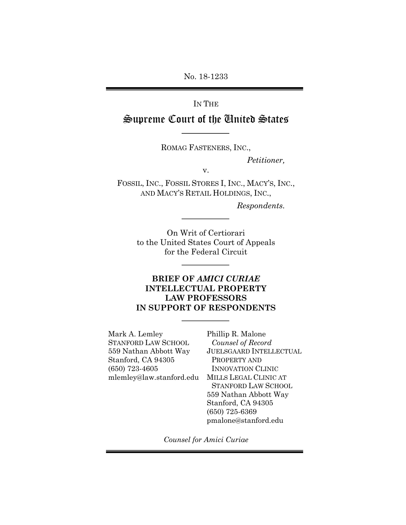No. 18-1233

### IN THE

# Supreme Court of the United States

ROMAG FASTENERS, INC.,

*Petitioner,*

v.

FOSSIL, INC., FOSSIL STORES I, INC., MACY'S, INC., AND MACY'S RETAIL HOLDINGS, INC.,

*Respondents.*

On Writ of Certiorari to the United States Court of Appeals for the Federal Circuit

### **BRIEF OF** *AMICI CURIAE* **INTELLECTUAL PROPERTY LAW PROFESSORS IN SUPPORT OF RESPONDENTS**

Mark A. Lemley STANFORD LAW SCHOOL 559 Nathan Abbott Way Stanford, CA 94305 (650) 723-4605 mlemley@law.stanford.edu MILLS LEGAL CLINIC AT

Phillip R. Malone *Counsel of Record* JUELSGAARD INTELLECTUAL PROPERTY AND INNOVATION CLINIC STANFORD LAW SCHOOL 559 Nathan Abbott Way Stanford, CA 94305 (650) 725-6369 pmalone@stanford.edu

*Counsel for Amici Curiae*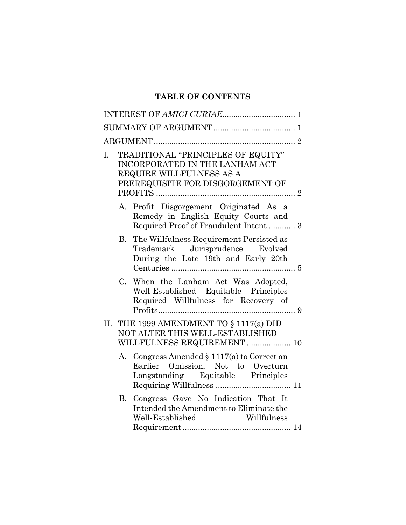## **TABLE OF CONTENTS**

| TRADITIONAL "PRINCIPLES OF EQUITY"<br>I.<br>INCORPORATED IN THE LANHAM ACT<br>REQUIRE WILLFULNESS AS A<br>PREREQUISITE FOR DISGORGEMENT OF |  |
|--------------------------------------------------------------------------------------------------------------------------------------------|--|
| A. Profit Disgorgement Originated As a<br>Remedy in English Equity Courts and<br>Required Proof of Fraudulent Intent  3                    |  |
| B. The Willfulness Requirement Persisted as<br>Trademark Jurisprudence Evolved<br>During the Late 19th and Early 20th                      |  |
| When the Lanham Act Was Adopted,<br>C.<br>Well-Established Equitable Principles<br>Required Willfulness for Recovery of                    |  |
| THE 1999 AMENDMENT TO § 1117(a) DID<br>II.<br>NOT ALTER THIS WELL-ESTABLISHED<br>WILLFULNESS REQUIREMENT  10                               |  |
| A. Congress Amended $\S 1117(a)$ to Correct an<br>Earlier Omission, Not to Overturn<br>Longstanding Equitable Principles                   |  |
| Congress Gave No Indication That It<br><b>B.</b><br>Intended the Amendment to Eliminate the<br>Willfulness<br>Well-Established             |  |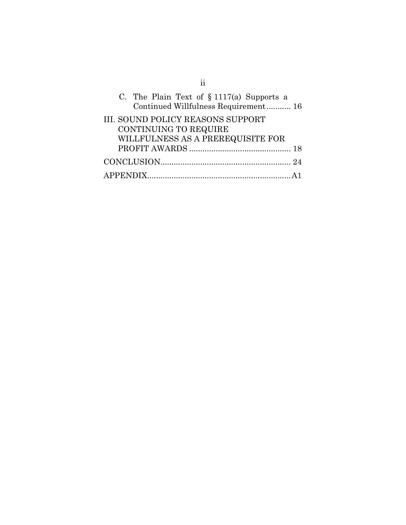| C. The Plain Text of $\S 1117(a)$ Supports a<br>Continued Willfulness Requirement 16 |
|--------------------------------------------------------------------------------------|
| <b>III. SOUND POLICY REASONS SUPPORT</b>                                             |
| CONTINUING TO REQUIRE                                                                |
| WILLFULNESS AS A PREREQUISITE FOR                                                    |
|                                                                                      |
|                                                                                      |
|                                                                                      |

ii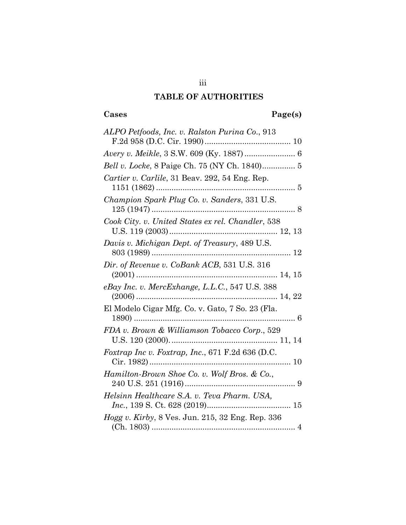## **TABLE OF AUTHORITIES**

# **Cases Page(s)**

| ALPO Petfoods, Inc. v. Ralston Purina Co., 913           |
|----------------------------------------------------------|
|                                                          |
|                                                          |
|                                                          |
| Cartier v. Carlile, 31 Beav. 292, 54 Eng. Rep.           |
| Champion Spark Plug Co. v. Sanders, 331 U.S.             |
| Cook City. v. United States ex rel. Chandler, 538        |
| Davis v. Michigan Dept. of Treasury, 489 U.S.            |
| Dir. of Revenue v. CoBank ACB, 531 U.S. 316              |
| eBay Inc. v. MercExhange, L.L.C., 547 U.S. 388           |
| El Modelo Cigar Mfg. Co. v. Gato, 7 So. 23 (Fla.         |
| FDA v. Brown & Williamson Tobacco Corp., 529             |
| Foxtrap Inc v. Foxtrap, Inc., 671 F.2d 636 (D.C.         |
| Hamilton-Brown Shoe Co. v. Wolf Bros. & Co.,             |
| Helsinn Healthcare S.A. v. Teva Pharm. USA,              |
| <i>Hogg v. Kirby</i> , 8 Ves. Jun. 215, 32 Eng. Rep. 336 |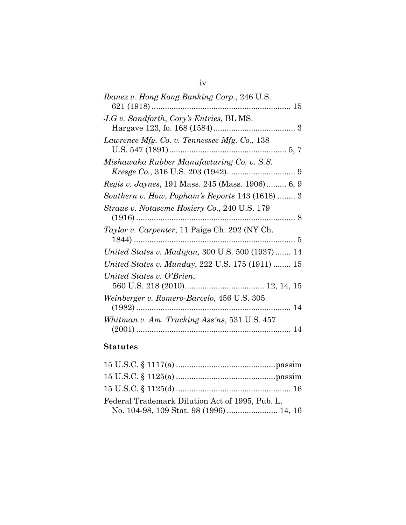| <i>Ibanez v. Hong Kong Banking Corp., 246 U.S.</i> |
|----------------------------------------------------|
| J.G v. Sandforth, Cory's Entries, BL MS.           |
| Lawrence Mfg. Co. v. Tennessee Mfg. Co., 138       |
| Mishawaka Rubber Manufacturing Co. v. S.S.         |
| Regis v. Jaynes, 191 Mass. 245 (Mass. 1906) 6, 9   |
| Southern v. How, Popham's Reports 143 (1618)  3    |
| Straus v. Notaseme Hosiery Co., 240 U.S. 179       |
| Taylor v. Carpenter, 11 Paige Ch. 292 (NY Ch.      |
| United States v. Madigan, 300 U.S. 500 (1937) 14   |
| United States v. Munday, 222 U.S. 175 (1911)  15   |
| United States v. O'Brien,                          |
| Weinberger v. Romero-Barcelo, 456 U.S. 305         |
| Whitman v. Am. Trucking Ass'ns, 531 U.S. 457       |

## **Statutes**

| Federal Trademark Dilution Act of 1995, Pub. L. |  |
|-------------------------------------------------|--|
| No. 104-98, 109 Stat. 98 (1996)  14, 16         |  |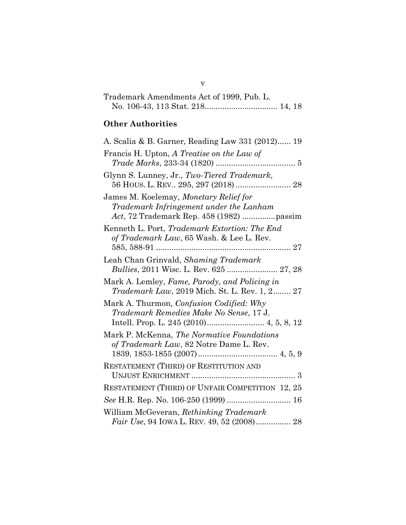| Trademark Amendments Act of 1999, Pub. L. |  |
|-------------------------------------------|--|
|                                           |  |

# **Other Authorities**

| A. Scalia & B. Garner, Reading Law 331 (2012) 19                                                               |
|----------------------------------------------------------------------------------------------------------------|
| Francis H. Upton, A Treatise on the Law of                                                                     |
| Glynn S. Lunney, Jr., Two-Tiered Trademark,                                                                    |
| James M. Koelemay, Monetary Relief for<br>Trademark Infringement under the Lanham                              |
| Kenneth L. Port, Trademark Extortion: The End<br>of Trademark Law, 65 Wash. & Lee L. Rev.<br>27<br>585, 588-91 |
| Leah Chan Grinvald, Shaming Trademark                                                                          |
| Mark A. Lemley, Fame, Parody, and Policing in<br>Trademark Law, 2019 Mich. St. L. Rev. 1, 2 27                 |
| Mark A. Thurmon, <i>Confusion Codified: Why</i><br>Trademark Remedies Make No Sense, 17 J.                     |
| Mark P. McKenna, The Normative Foundations<br>of Trademark Law, 82 Notre Dame L. Rev.                          |
| RESTATEMENT (THIRD) OF RESTITUTION AND                                                                         |
| <b>RESTATEMENT (THIRD) OF UNFAIR COMPETITION 12, 25</b>                                                        |
| See H.R. Rep. No. 106-250 (1999)  16                                                                           |
| William McGeveran, Rethinking Trademark<br>Fair Use, 94 IOWA L. REV. 49, 52 (2008) 28                          |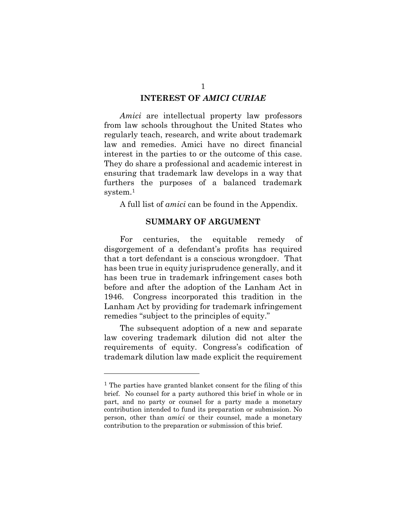#### **INTEREST OF** *AMICI CURIAE*

*Amici* are intellectual property law professors from law schools throughout the United States who regularly teach, research, and write about trademark law and remedies. Amici have no direct financial interest in the parties to or the outcome of this case. They do share a professional and academic interest in ensuring that trademark law develops in a way that furthers the purposes of a balanced trademark system.<sup>1</sup>

A full list of *amici* can be found in the Appendix.

#### **SUMMARY OF ARGUMENT**

For centuries, the equitable remedy of disgorgement of a defendant's profits has required that a tort defendant is a conscious wrongdoer. That has been true in equity jurisprudence generally, and it has been true in trademark infringement cases both before and after the adoption of the Lanham Act in 1946. Congress incorporated this tradition in the Lanham Act by providing for trademark infringement remedies "subject to the principles of equity."

The subsequent adoption of a new and separate law covering trademark dilution did not alter the requirements of equity. Congress's codification of trademark dilution law made explicit the requirement

<sup>&</sup>lt;sup>1</sup> The parties have granted blanket consent for the filing of this brief. No counsel for a party authored this brief in whole or in part, and no party or counsel for a party made a monetary contribution intended to fund its preparation or submission. No person, other than *amici* or their counsel, made a monetary contribution to the preparation or submission of this brief.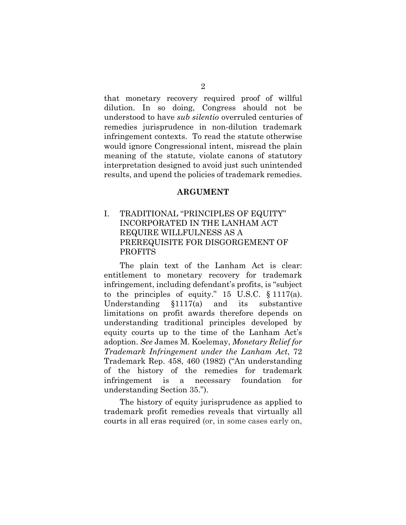that monetary recovery required proof of willful dilution. In so doing, Congress should not be understood to have *sub silentio* overruled centuries of remedies jurisprudence in non-dilution trademark infringement contexts. To read the statute otherwise would ignore Congressional intent, misread the plain meaning of the statute, violate canons of statutory interpretation designed to avoid just such unintended results, and upend the policies of trademark remedies.

#### **ARGUMENT**

#### I. TRADITIONAL "PRINCIPLES OF EQUITY" INCORPORATED IN THE LANHAM ACT REQUIRE WILLFULNESS AS A PREREQUISITE FOR DISGORGEMENT OF PROFITS

The plain text of the Lanham Act is clear: entitlement to monetary recovery for trademark infringement, including defendant's profits, is "subject to the principles of equity." 15 U.S.C. § 1117(a). Understanding §1117(a) and its substantive limitations on profit awards therefore depends on understanding traditional principles developed by equity courts up to the time of the Lanham Act's adoption. *See* James M. Koelemay, *Monetary Relief for Trademark Infringement under the Lanham Act*, 72 Trademark Rep. 458, 460 (1982) ("An understanding of the history of the remedies for trademark infringement is a necessary foundation for understanding Section 35.").

The history of equity jurisprudence as applied to trademark profit remedies reveals that virtually all courts in all eras required (or, in some cases early on,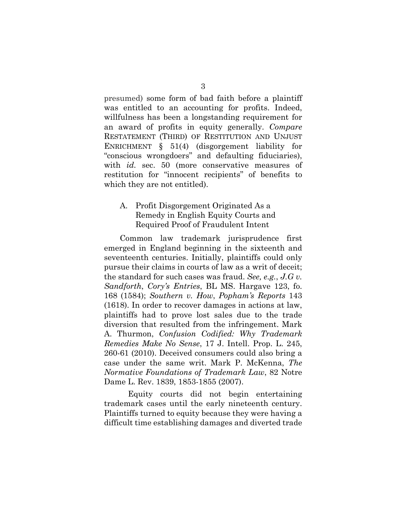presumed) some form of bad faith before a plaintiff was entitled to an accounting for profits. Indeed, willfulness has been a longstanding requirement for an award of profits in equity generally. *Compare*  RESTATEMENT (THIRD) OF RESTITUTION AND UNJUST ENRICHMENT § 51(4) (disgorgement liability for "conscious wrongdoers" and defaulting fiduciaries), with *id.* sec. 50 (more conservative measures of restitution for "innocent recipients" of benefits to which they are not entitled).

#### A. Profit Disgorgement Originated As a Remedy in English Equity Courts and Required Proof of Fraudulent Intent

Common law trademark jurisprudence first emerged in England beginning in the sixteenth and seventeenth centuries. Initially, plaintiffs could only pursue their claims in courts of law as a writ of deceit; the standard for such cases was fraud. *See, e.g.*, *J.G v. Sandforth*, *Cory's Entries*, BL MS. Hargave 123, fo. 168 (1584); *Southern v. How*, *Popham's Reports* 143 (1618). In order to recover damages in actions at law, plaintiffs had to prove lost sales due to the trade diversion that resulted from the infringement. Mark A. Thurmon, *Confusion Codified: Why Trademark Remedies Make No Sense*, 17 J. Intell. Prop. L. 245, 260-61 (2010). Deceived consumers could also bring a case under the same writ. Mark P. McKenna, *The Normative Foundations of Trademark Law*, 82 Notre Dame L. Rev. 1839, 1853-1855 (2007).

Equity courts did not begin entertaining trademark cases until the early nineteenth century. Plaintiffs turned to equity because they were having a difficult time establishing damages and diverted trade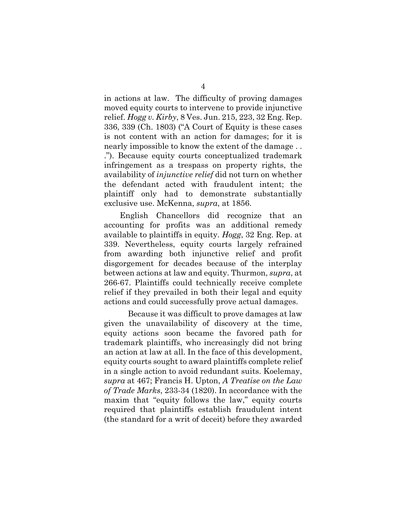in actions at law. The difficulty of proving damages moved equity courts to intervene to provide injunctive relief. *Hogg v. Kirby*, 8 Ves. Jun. 215, 223, 32 Eng. Rep. 336, 339 (Ch. 1803) ("A Court of Equity is these cases is not content with an action for damages; for it is nearly impossible to know the extent of the damage . . ."). Because equity courts conceptualized trademark infringement as a trespass on property rights, the availability of *injunctive relief* did not turn on whether the defendant acted with fraudulent intent; the plaintiff only had to demonstrate substantially exclusive use. McKenna, *supra*, at 1856.

English Chancellors did recognize that an accounting for profits was an additional remedy available to plaintiffs in equity. *Hogg*, 32 Eng. Rep. at 339. Nevertheless, equity courts largely refrained from awarding both injunctive relief and profit disgorgement for decades because of the interplay between actions at law and equity. Thurmon, *supra*, at 266-67. Plaintiffs could technically receive complete relief if they prevailed in both their legal and equity actions and could successfully prove actual damages.

Because it was difficult to prove damages at law given the unavailability of discovery at the time, equity actions soon became the favored path for trademark plaintiffs, who increasingly did not bring an action at law at all. In the face of this development, equity courts sought to award plaintiffs complete relief in a single action to avoid redundant suits. Koelemay, *supra* at 467; Francis H. Upton, *A Treatise on the Law of Trade Marks*, 233-34 (1820). In accordance with the maxim that "equity follows the law," equity courts required that plaintiffs establish fraudulent intent (the standard for a writ of deceit) before they awarded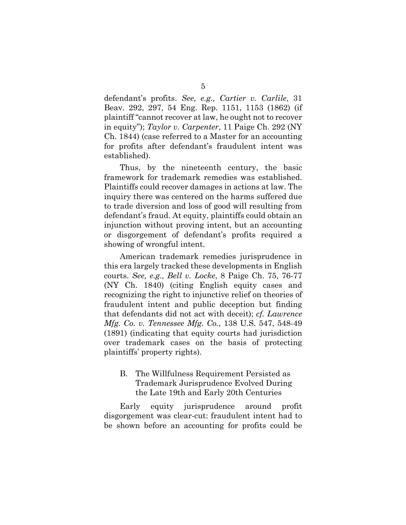defendant's profits. *See, e.g., Cartier v. Carlile*, 31 Beav. 292, 297, 54 Eng. Rep. 1151, 1153 (1862) (if plaintiff "cannot recover at law, he ought not to recover in equity"); *Taylor v. Carpenter*, 11 Paige Ch. 292 (NY Ch. 1844) (case referred to a Master for an accounting for profits after defendant's fraudulent intent was established).

Thus, by the nineteenth century, the basic framework for trademark remedies was established. Plaintiffs could recover damages in actions at law. The inquiry there was centered on the harms suffered due to trade diversion and loss of good will resulting from defendant's fraud. At equity, plaintiffs could obtain an injunction without proving intent, but an accounting or disgorgement of defendant's profits required a showing of wrongful intent.

American trademark remedies jurisprudence in this era largely tracked these developments in English courts. *See, e.g., Bell v. Locke*, 8 Paige Ch. 75, 76-77 (NY Ch. 1840) (citing English equity cases and recognizing the right to injunctive relief on theories of fraudulent intent and public deception but finding that defendants did not act with deceit); *cf. Lawrence Mfg. Co. v. Tennessee Mfg. Co.*, 138 U.S. 547, 548-49 (1891) (indicating that equity courts had jurisdiction over trademark cases on the basis of protecting plaintiffs' property rights).

#### B. The Willfulness Requirement Persisted as Trademark Jurisprudence Evolved During the Late 19th and Early 20th Centuries

Early equity jurisprudence around profit disgorgement was clear-cut: fraudulent intent had to be shown before an accounting for profits could be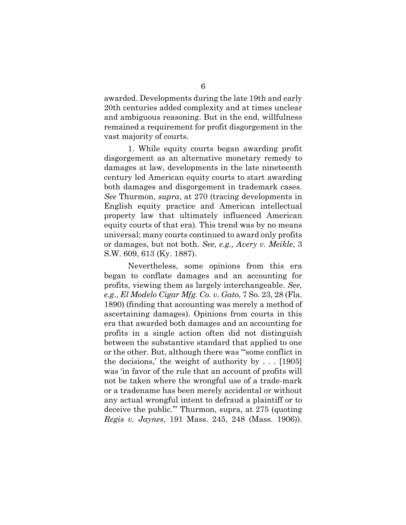awarded. Developments during the late 19th and early 20th centuries added complexity and at times unclear and ambiguous reasoning. But in the end, willfulness remained a requirement for profit disgorgement in the vast majority of courts.

1. While equity courts began awarding profit disgorgement as an alternative monetary remedy to damages at law, developments in the late nineteenth century led American equity courts to start awarding both damages and disgorgement in trademark cases. *See* Thurmon, *supra*, at 270 (tracing developments in English equity practice and American intellectual property law that ultimately influenced American equity courts of that era). This trend was by no means universal; many courts continued to award only profits or damages, but not both. *See, e.g., Avery v. Meikle*, 3 S.W. 609, 613 (Ky. 1887).

Nevertheless, some opinions from this era began to conflate damages and an accounting for profits, viewing them as largely interchangeable. *See, e.g*., *El Modelo Cigar Mfg. Co. v. Gato*, 7 So. 23, 28 (Fla. 1890) (finding that accounting was merely a method of ascertaining damages). Opinions from courts in this era that awarded both damages and an accounting for profits in a single action often did not distinguish between the substantive standard that applied to one or the other. But, although there was "'some conflict in the decisions,' the weight of authority by . . . [1905] was 'in favor of the rule that an account of profits will not be taken where the wrongful use of a trade-mark or a tradename has been merely accidental or without any actual wrongful intent to defraud a plaintiff or to deceive the public.'" Thurmon, supra, at 275 (quoting *Regis v. Jaynes*, 191 Mass. 245, 248 (Mass. 1906)).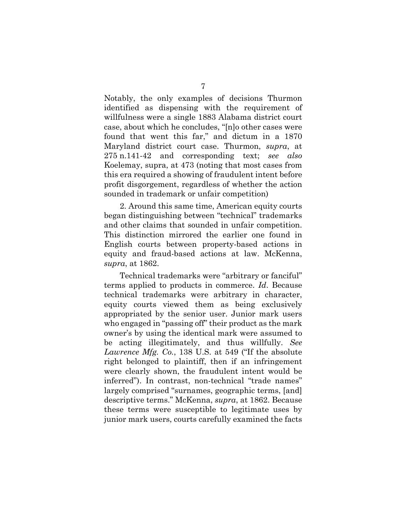Notably, the only examples of decisions Thurmon identified as dispensing with the requirement of willfulness were a single 1883 Alabama district court case, about which he concludes, "[n]o other cases were found that went this far," and dictum in a 1870 Maryland district court case. Thurmon, *supra*, at 275 n.141-42 and corresponding text; *see also*  Koelemay, supra, at 473 (noting that most cases from this era required a showing of fraudulent intent before profit disgorgement, regardless of whether the action sounded in trademark or unfair competition)

2. Around this same time, American equity courts began distinguishing between "technical" trademarks and other claims that sounded in unfair competition. This distinction mirrored the earlier one found in English courts between property-based actions in equity and fraud-based actions at law. McKenna, *supra*, at 1862.

Technical trademarks were "arbitrary or fanciful" terms applied to products in commerce. *Id*. Because technical trademarks were arbitrary in character, equity courts viewed them as being exclusively appropriated by the senior user. Junior mark users who engaged in "passing off" their product as the mark owner's by using the identical mark were assumed to be acting illegitimately, and thus willfully. *See Lawrence Mfg. Co.*, 138 U.S. at 549 ("If the absolute right belonged to plaintiff, then if an infringement were clearly shown, the fraudulent intent would be inferred"). In contrast, non-technical "trade names" largely comprised "surnames, geographic terms, [and] descriptive terms." McKenna, *supra*, at 1862. Because these terms were susceptible to legitimate uses by junior mark users, courts carefully examined the facts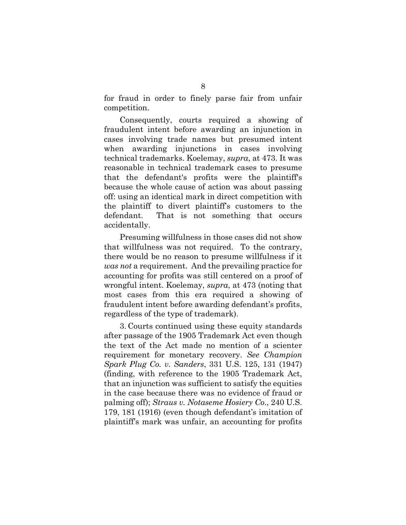for fraud in order to finely parse fair from unfair competition.

Consequently, courts required a showing of fraudulent intent before awarding an injunction in cases involving trade names but presumed intent when awarding injunctions in cases involving technical trademarks. Koelemay, *supra*, at 473. It was reasonable in technical trademark cases to presume that the defendant's profits were the plaintiff's because the whole cause of action was about passing off: using an identical mark in direct competition with the plaintiff to divert plaintiff's customers to the defendant. That is not something that occurs accidentally.

Presuming willfulness in those cases did not show that willfulness was not required. To the contrary, there would be no reason to presume willfulness if it *was not* a requirement. And the prevailing practice for accounting for profits was still centered on a proof of wrongful intent. Koelemay, *supra*, at 473 (noting that most cases from this era required a showing of fraudulent intent before awarding defendant's profits, regardless of the type of trademark).

3. Courts continued using these equity standards after passage of the 1905 Trademark Act even though the text of the Act made no mention of a scienter requirement for monetary recovery. *See Champion Spark Plug Co. v. Sanders*, 331 U.S. 125, 131 (1947) (finding, with reference to the 1905 Trademark Act, that an injunction was sufficient to satisfy the equities in the case because there was no evidence of fraud or palming off); *Straus v. Notaseme Hosiery Co*., 240 U.S. 179, 181 (1916) (even though defendant's imitation of plaintiff's mark was unfair, an accounting for profits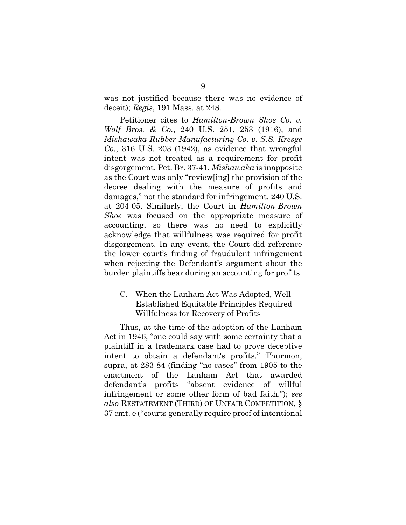was not justified because there was no evidence of deceit); *Regis*, 191 Mass. at 248.

Petitioner cites to *Hamilton-Brown Shoe Co. v. Wolf Bros. & Co.*, 240 U.S. 251, 253 (1916), and *Mishawaka Rubber Manufacturing Co. v. S.S. Kresge Co.*, 316 U.S. 203 (1942), as evidence that wrongful intent was not treated as a requirement for profit disgorgement. Pet. Br. 37-41. *Mishawaka* is inapposite as the Court was only "review[ing] the provision of the decree dealing with the measure of profits and damages," not the standard for infringement. 240 U.S. at 204-05. Similarly, the Court in *Hamilton-Brown Shoe* was focused on the appropriate measure of accounting, so there was no need to explicitly acknowledge that willfulness was required for profit disgorgement. In any event, the Court did reference the lower court's finding of fraudulent infringement when rejecting the Defendant's argument about the burden plaintiffs bear during an accounting for profits.

#### C. When the Lanham Act Was Adopted, Well-Established Equitable Principles Required Willfulness for Recovery of Profits

Thus, at the time of the adoption of the Lanham Act in 1946, "one could say with some certainty that a plaintiff in a trademark case had to prove deceptive intent to obtain a defendant's profits." Thurmon, supra, at 283-84 (finding "no cases" from 1905 to the enactment of the Lanham Act that awarded defendant's profits "absent evidence of willful infringement or some other form of bad faith."); *see also* RESTATEMENT (THIRD) OF UNFAIR COMPETITION, § 37 cmt. e ("courts generally require proof of intentional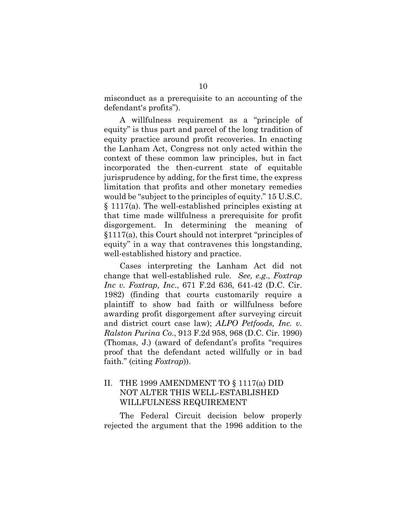misconduct as a prerequisite to an accounting of the defendant's profits").

A willfulness requirement as a "principle of equity" is thus part and parcel of the long tradition of equity practice around profit recoveries. In enacting the Lanham Act, Congress not only acted within the context of these common law principles, but in fact incorporated the then-current state of equitable jurisprudence by adding, for the first time, the express limitation that profits and other monetary remedies would be "subject to the principles of equity." 15 U.S.C. § 1117(a). The well-established principles existing at that time made willfulness a prerequisite for profit disgorgement. In determining the meaning of §1117(a), this Court should not interpret "principles of equity" in a way that contravenes this longstanding, well-established history and practice.

Cases interpreting the Lanham Act did not change that well-established rule. *See, e.g*., *Foxtrap Inc v. Foxtrap, Inc*., 671 F.2d 636, 641-42 (D.C. Cir. 1982) (finding that courts customarily require a plaintiff to show bad faith or willfulness before awarding profit disgorgement after surveying circuit and district court case law); *ALPO Petfoods, Inc. v. Ralston Purina Co*., 913 F.2d 958, 968 (D.C. Cir. 1990) (Thomas, J.) (award of defendant's profits "requires proof that the defendant acted willfully or in bad faith." (citing *Foxtrap*)).

#### II. THE 1999 AMENDMENT TO § 1117(a) DID NOT ALTER THIS WELL-ESTABLISHED WILLFULNESS REQUIREMENT

The Federal Circuit decision below properly rejected the argument that the 1996 addition to the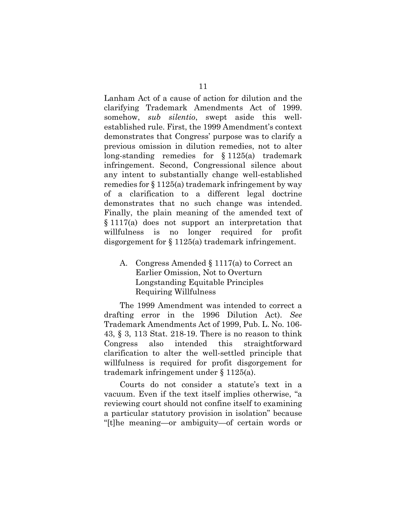Lanham Act of a cause of action for dilution and the clarifying Trademark Amendments Act of 1999. somehow, *sub silentio*, swept aside this wellestablished rule. First, the 1999 Amendment's context demonstrates that Congress' purpose was to clarify a previous omission in dilution remedies, not to alter long-standing remedies for  $§ 1125(a)$  trademark infringement. Second, Congressional silence about any intent to substantially change well-established remedies for § 1125(a) trademark infringement by way of a clarification to a different legal doctrine demonstrates that no such change was intended. Finally, the plain meaning of the amended text of § 1117(a) does not support an interpretation that willfulness is no longer required for profit disgorgement for § 1125(a) trademark infringement.

#### A. Congress Amended § 1117(a) to Correct an Earlier Omission, Not to Overturn Longstanding Equitable Principles Requiring Willfulness

The 1999 Amendment was intended to correct a drafting error in the 1996 Dilution Act). *See* Trademark Amendments Act of 1999, Pub. L. No. 106- 43, § 3, 113 Stat. 218-19. There is no reason to think Congress also intended this straightforward clarification to alter the well-settled principle that willfulness is required for profit disgorgement for trademark infringement under § 1125(a).

Courts do not consider a statute's text in a vacuum. Even if the text itself implies otherwise, "a reviewing court should not confine itself to examining a particular statutory provision in isolation" because "[t]he meaning—or ambiguity—of certain words or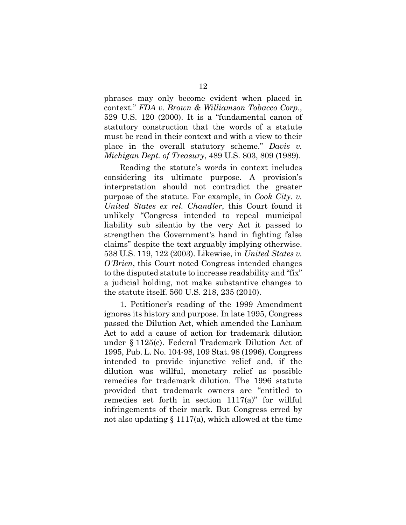phrases may only become evident when placed in context." *FDA v. Brown & Williamson Tobacco Corp*., 529 U.S. 120 (2000). It is a "fundamental canon of statutory construction that the words of a statute must be read in their context and with a view to their place in the overall statutory scheme." *Davis v. Michigan Dept. of Treasury*, 489 U.S. 803, 809 (1989).

Reading the statute's words in context includes considering its ultimate purpose. A provision's interpretation should not contradict the greater purpose of the statute. For example, in *Cook City. v. United States ex rel. Chandler*, this Court found it unlikely "Congress intended to repeal municipal liability sub silentio by the very Act it passed to strengthen the Government's hand in fighting false claims" despite the text arguably implying otherwise. 538 U.S. 119, 122 (2003). Likewise, in *United States v. O'Brien*, this Court noted Congress intended changes to the disputed statute to increase readability and "fix" a judicial holding, not make substantive changes to the statute itself. 560 U.S. 218, 235 (2010).

1. Petitioner's reading of the 1999 Amendment ignores its history and purpose. In late 1995, Congress passed the Dilution Act, which amended the Lanham Act to add a cause of action for trademark dilution under § 1125(c). Federal Trademark Dilution Act of 1995, Pub. L. No. 104-98, 109 Stat. 98 (1996). Congress intended to provide injunctive relief and, if the dilution was willful, monetary relief as possible remedies for trademark dilution. The 1996 statute provided that trademark owners are "entitled to remedies set forth in section 1117(a)" for willful infringements of their mark. But Congress erred by not also updating  $\S 1117(a)$ , which allowed at the time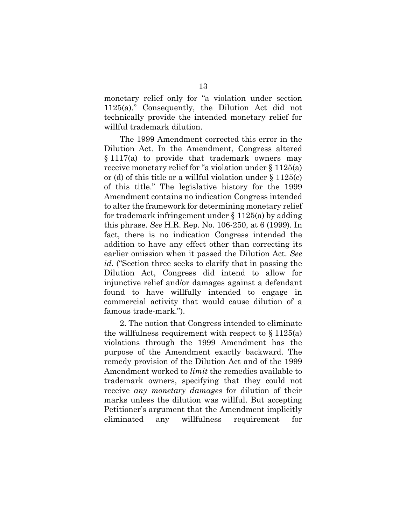monetary relief only for "a violation under section 1125(a)." Consequently, the Dilution Act did not technically provide the intended monetary relief for willful trademark dilution.

The 1999 Amendment corrected this error in the Dilution Act. In the Amendment, Congress altered § 1117(a) to provide that trademark owners may receive monetary relief for "a violation under § 1125(a) or (d) of this title or a willful violation under § 1125(c) of this title." The legislative history for the 1999 Amendment contains no indication Congress intended to alter the framework for determining monetary relief for trademark infringement under § 1125(a) by adding this phrase. *See* H.R. Rep. No. 106-250, at 6 (1999). In fact, there is no indication Congress intended the addition to have any effect other than correcting its earlier omission when it passed the Dilution Act. *See id.* ("Section three seeks to clarify that in passing the Dilution Act, Congress did intend to allow for injunctive relief and/or damages against a defendant found to have willfully intended to engage in commercial activity that would cause dilution of a famous trade-mark.").

2. The notion that Congress intended to eliminate the willfulness requirement with respect to  $\S 1125(a)$ violations through the 1999 Amendment has the purpose of the Amendment exactly backward. The remedy provision of the Dilution Act and of the 1999 Amendment worked to *limit* the remedies available to trademark owners, specifying that they could not receive *any monetary damages* for dilution of their marks unless the dilution was willful. But accepting Petitioner's argument that the Amendment implicitly eliminated any willfulness requirement for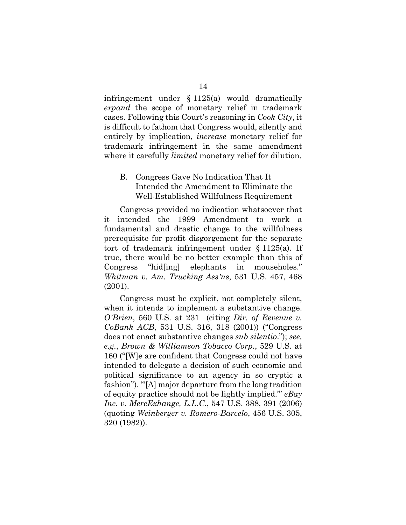infringement under § 1125(a) would dramatically *expand* the scope of monetary relief in trademark cases. Following this Court's reasoning in *Cook City*, it is difficult to fathom that Congress would, silently and entirely by implication, *increase* monetary relief for trademark infringement in the same amendment where it carefully *limited* monetary relief for dilution.

#### B. Congress Gave No Indication That It Intended the Amendment to Eliminate the Well-Established Willfulness Requirement

Congress provided no indication whatsoever that it intended the 1999 Amendment to work a fundamental and drastic change to the willfulness prerequisite for profit disgorgement for the separate tort of trademark infringement under § 1125(a). If true, there would be no better example than this of Congress "hid[ing] elephants in mouseholes." *Whitman v. Am. Trucking Ass'ns*, 531 U.S. 457, 468 (2001).

Congress must be explicit, not completely silent, when it intends to implement a substantive change. *O'Brien*, 560 U.S. at 231 (citing *Dir. of Revenue v. CoBank ACB*, 531 U.S. 316, 318 (2001)) ("Congress does not enact substantive changes *sub silentio*."); *see, e.g.*, *Brown & Williamson Tobacco Corp.*, 529 U.S. at 160 ("[W]e are confident that Congress could not have intended to delegate a decision of such economic and political significance to an agency in so cryptic a fashion"). "'[A] major departure from the long tradition of equity practice should not be lightly implied."' *eBay Inc. v. MercExhange, L.L.C.*, 547 U.S. 388, 391 (2006) (quoting *Weinberger v. Romero-Barcelo*, 456 U.S. 305, 320 (1982)).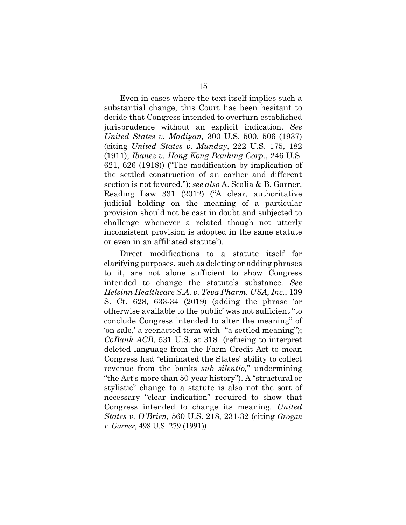Even in cases where the text itself implies such a substantial change, this Court has been hesitant to decide that Congress intended to overturn established jurisprudence without an explicit indication. *See United States v. Madigan,* 300 U.S. 500, 506 (1937) (citing *United States v. Munday*, 222 U.S. 175, 182 (1911); *Ibanez v. Hong Kong Banking Corp.*, 246 U.S. 621, 626 (1918)) ("The modification by implication of the settled construction of an earlier and different section is not favored."); *see also* A. Scalia & B. Garner, Reading Law 331 (2012) ("A clear, authoritative judicial holding on the meaning of a particular provision should not be cast in doubt and subjected to challenge whenever a related though not utterly inconsistent provision is adopted in the same statute or even in an affiliated statute").

Direct modifications to a statute itself for clarifying purposes, such as deleting or adding phrases to it, are not alone sufficient to show Congress intended to change the statute's substance. *See Helsinn Healthcare S.A. v. Teva Pharm. USA, Inc.*, 139 S. Ct. 628, 633-34 (2019) (adding the phrase 'or otherwise available to the public' was not sufficient "to conclude Congress intended to alter the meaning" of 'on sale,' a reenacted term with "a settled meaning"); *CoBank ACB*, 531 U.S. at 318 (refusing to interpret deleted language from the Farm Credit Act to mean Congress had "eliminated the States' ability to collect revenue from the banks *sub silentio,*" undermining "the Act's more than 50-year history"). A "structural or stylistic" change to a statute is also not the sort of necessary "clear indication" required to show that Congress intended to change its meaning. *United States v. O'Brien,* 560 U.S. 218, 231-32 (citing *Grogan v. Garner*, 498 U.S. 279 (1991)).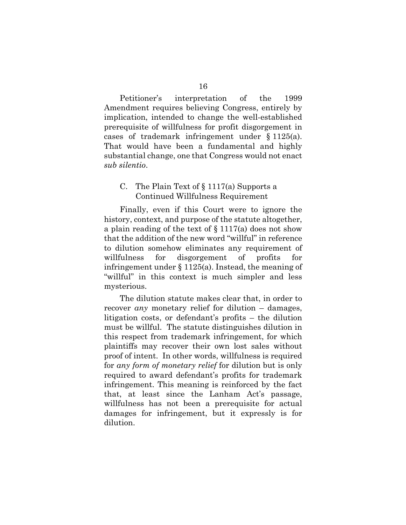Petitioner's interpretation of the 1999 Amendment requires believing Congress, entirely by implication, intended to change the well-established prerequisite of willfulness for profit disgorgement in cases of trademark infringement under § 1125(a). That would have been a fundamental and highly substantial change, one that Congress would not enact *sub silentio*.

#### C. The Plain Text of § 1117(a) Supports a Continued Willfulness Requirement

Finally, even if this Court were to ignore the history, context, and purpose of the statute altogether, a plain reading of the text of § 1117(a) does not show that the addition of the new word "willful" in reference to dilution somehow eliminates any requirement of willfulness for disgorgement of profits for infringement under § 1125(a). Instead, the meaning of "willful" in this context is much simpler and less mysterious.

The dilution statute makes clear that, in order to recover *any* monetary relief for dilution – damages, litigation costs, or defendant's profits – the dilution must be willful. The statute distinguishes dilution in this respect from trademark infringement, for which plaintiffs may recover their own lost sales without proof of intent. In other words, willfulness is required for *any form of monetary relief* for dilution but is only required to award defendant's profits for trademark infringement. This meaning is reinforced by the fact that, at least since the Lanham Act's passage, willfulness has not been a prerequisite for actual damages for infringement, but it expressly is for dilution.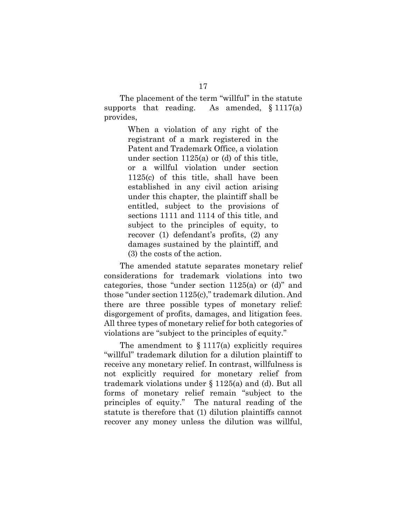The placement of the term "willful" in the statute supports that reading. As amended,  $\S 1117(a)$ provides,

> When a violation of any right of the registrant of a mark registered in the Patent and Trademark Office, a violation under section 1125(a) or (d) of this title, or a willful violation under section 1125(c) of this title, shall have been established in any civil action arising under this chapter, the plaintiff shall be entitled, subject to the provisions of sections 1111 and 1114 of this title, and subject to the principles of equity, to recover (1) defendant's profits, (2) any damages sustained by the plaintiff, and (3) the costs of the action.

The amended statute separates monetary relief considerations for trademark violations into two categories, those "under section 1125(a) or (d)" and those "under section 1125(c)," trademark dilution. And there are three possible types of monetary relief: disgorgement of profits, damages, and litigation fees. All three types of monetary relief for both categories of violations are "subject to the principles of equity."

The amendment to  $\S 1117(a)$  explicitly requires "willful" trademark dilution for a dilution plaintiff to receive any monetary relief. In contrast, willfulness is not explicitly required for monetary relief from trademark violations under § 1125(a) and (d). But all forms of monetary relief remain "subject to the principles of equity." The natural reading of the statute is therefore that (1) dilution plaintiffs cannot recover any money unless the dilution was willful,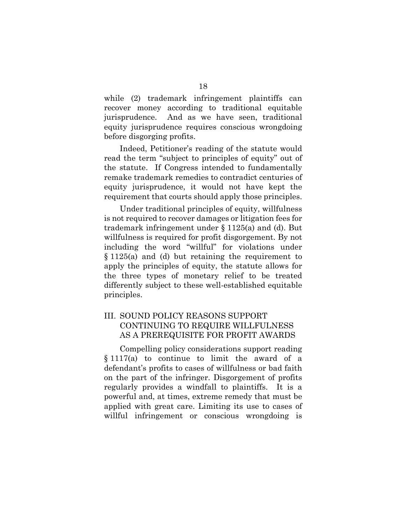while (2) trademark infringement plaintiffs can recover money according to traditional equitable jurisprudence. And as we have seen, traditional equity jurisprudence requires conscious wrongdoing before disgorging profits.

Indeed, Petitioner's reading of the statute would read the term "subject to principles of equity" out of the statute. If Congress intended to fundamentally remake trademark remedies to contradict centuries of equity jurisprudence, it would not have kept the requirement that courts should apply those principles.

Under traditional principles of equity, willfulness is not required to recover damages or litigation fees for trademark infringement under § 1125(a) and (d). But willfulness is required for profit disgorgement. By not including the word "willful" for violations under § 1125(a) and (d) but retaining the requirement to apply the principles of equity, the statute allows for the three types of monetary relief to be treated differently subject to these well-established equitable principles.

#### III. SOUND POLICY REASONS SUPPORT CONTINUING TO REQUIRE WILLFULNESS AS A PREREQUISITE FOR PROFIT AWARDS

Compelling policy considerations support reading § 1117(a) to continue to limit the award of a defendant's profits to cases of willfulness or bad faith on the part of the infringer. Disgorgement of profits regularly provides a windfall to plaintiffs. It is a powerful and, at times, extreme remedy that must be applied with great care. Limiting its use to cases of willful infringement or conscious wrongdoing is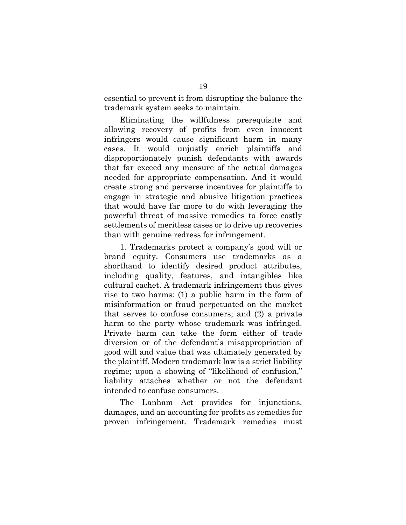essential to prevent it from disrupting the balance the trademark system seeks to maintain.

Eliminating the willfulness prerequisite and allowing recovery of profits from even innocent infringers would cause significant harm in many cases. It would unjustly enrich plaintiffs and disproportionately punish defendants with awards that far exceed any measure of the actual damages needed for appropriate compensation. And it would create strong and perverse incentives for plaintiffs to engage in strategic and abusive litigation practices that would have far more to do with leveraging the powerful threat of massive remedies to force costly settlements of meritless cases or to drive up recoveries than with genuine redress for infringement.

1. Trademarks protect a company's good will or brand equity. Consumers use trademarks as a shorthand to identify desired product attributes, including quality, features, and intangibles like cultural cachet. A trademark infringement thus gives rise to two harms: (1) a public harm in the form of misinformation or fraud perpetuated on the market that serves to confuse consumers; and (2) a private harm to the party whose trademark was infringed. Private harm can take the form either of trade diversion or of the defendant's misappropriation of good will and value that was ultimately generated by the plaintiff. Modern trademark law is a strict liability regime; upon a showing of "likelihood of confusion," liability attaches whether or not the defendant intended to confuse consumers.

The Lanham Act provides for injunctions, damages, and an accounting for profits as remedies for proven infringement. Trademark remedies must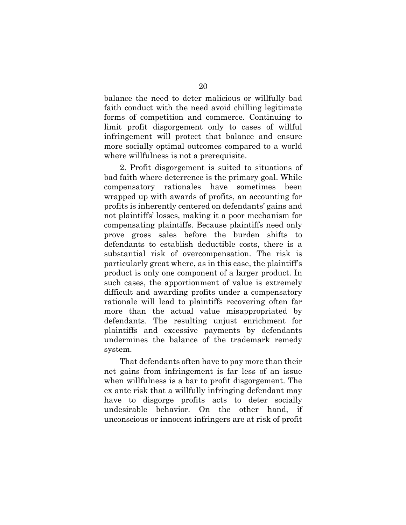balance the need to deter malicious or willfully bad faith conduct with the need avoid chilling legitimate forms of competition and commerce. Continuing to limit profit disgorgement only to cases of willful infringement will protect that balance and ensure more socially optimal outcomes compared to a world where willfulness is not a prerequisite.

2. Profit disgorgement is suited to situations of bad faith where deterrence is the primary goal. While compensatory rationales have sometimes been wrapped up with awards of profits, an accounting for profits is inherently centered on defendants' gains and not plaintiffs' losses, making it a poor mechanism for compensating plaintiffs. Because plaintiffs need only prove gross sales before the burden shifts to defendants to establish deductible costs, there is a substantial risk of overcompensation. The risk is particularly great where, as in this case, the plaintiff's product is only one component of a larger product. In such cases, the apportionment of value is extremely difficult and awarding profits under a compensatory rationale will lead to plaintiffs recovering often far more than the actual value misappropriated by defendants. The resulting unjust enrichment for plaintiffs and excessive payments by defendants undermines the balance of the trademark remedy system.

That defendants often have to pay more than their net gains from infringement is far less of an issue when willfulness is a bar to profit disgorgement. The ex ante risk that a willfully infringing defendant may have to disgorge profits acts to deter socially undesirable behavior. On the other hand, if unconscious or innocent infringers are at risk of profit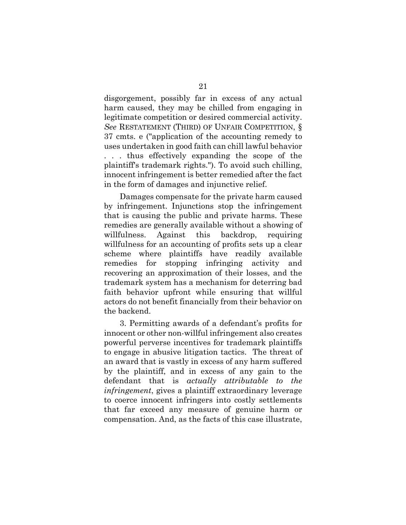disgorgement, possibly far in excess of any actual harm caused, they may be chilled from engaging in legitimate competition or desired commercial activity. *See* RESTATEMENT (THIRD) OF UNFAIR COMPETITION, § 37 cmts. e ("application of the accounting remedy to uses undertaken in good faith can chill lawful behavior . . . thus effectively expanding the scope of the plaintiff's trademark rights."). To avoid such chilling, innocent infringement is better remedied after the fact in the form of damages and injunctive relief.

Damages compensate for the private harm caused by infringement. Injunctions stop the infringement that is causing the public and private harms. These remedies are generally available without a showing of willfulness. Against this backdrop, requiring willfulness for an accounting of profits sets up a clear scheme where plaintiffs have readily available remedies for stopping infringing activity and recovering an approximation of their losses, and the trademark system has a mechanism for deterring bad faith behavior upfront while ensuring that willful actors do not benefit financially from their behavior on the backend.

3. Permitting awards of a defendant's profits for innocent or other non-willful infringement also creates powerful perverse incentives for trademark plaintiffs to engage in abusive litigation tactics. The threat of an award that is vastly in excess of any harm suffered by the plaintiff, and in excess of any gain to the defendant that is *actually attributable to the infringement*, gives a plaintiff extraordinary leverage to coerce innocent infringers into costly settlements that far exceed any measure of genuine harm or compensation. And, as the facts of this case illustrate,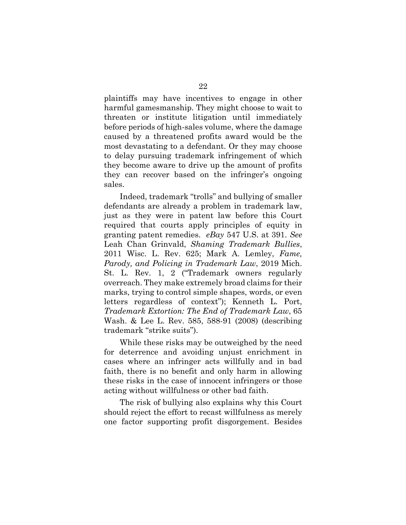plaintiffs may have incentives to engage in other harmful gamesmanship. They might choose to wait to threaten or institute litigation until immediately before periods of high-sales volume, where the damage caused by a threatened profits award would be the most devastating to a defendant. Or they may choose to delay pursuing trademark infringement of which they become aware to drive up the amount of profits they can recover based on the infringer's ongoing sales.

Indeed, trademark "trolls" and bullying of smaller defendants are already a problem in trademark law, just as they were in patent law before this Court required that courts apply principles of equity in granting patent remedies. *eBay* 547 U.S. at 391. *See*  Leah Chan Grinvald, *Shaming Trademark Bullies*, 2011 Wisc. L. Rev. 625; Mark A. Lemley, *Fame, Parody, and Policing in Trademark Law*, 2019 Mich. St. L. Rev. 1, 2 ("Trademark owners regularly overreach. They make extremely broad claims for their marks, trying to control simple shapes, words, or even letters regardless of context"); Kenneth L. Port, *Trademark Extortion: The End of Trademark Law*, 65 Wash. & Lee L. Rev. 585, 588-91 (2008) (describing trademark "strike suits").

While these risks may be outweighed by the need for deterrence and avoiding unjust enrichment in cases where an infringer acts willfully and in bad faith, there is no benefit and only harm in allowing these risks in the case of innocent infringers or those acting without willfulness or other bad faith.

The risk of bullying also explains why this Court should reject the effort to recast willfulness as merely one factor supporting profit disgorgement. Besides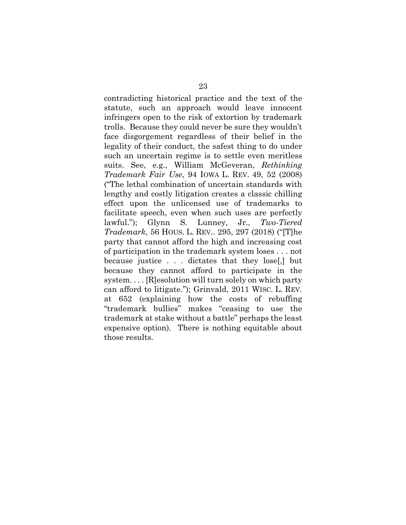contradicting historical practice and the text of the statute, such an approach would leave innocent infringers open to the risk of extortion by trademark trolls. Because they could never be sure they wouldn't face disgorgement regardless of their belief in the legality of their conduct, the safest thing to do under such an uncertain regime is to settle even meritless suits. See, e.g., William McGeveran, *Rethinking Trademark Fair Use*, 94 IOWA L. REV. 49, 52 (2008) ("The lethal combination of uncertain standards with lengthy and costly litigation creates a classic chilling effect upon the unlicensed use of trademarks to facilitate speech, even when such uses are perfectly lawful."); Glynn S. Lunney, Jr., *Two-Tiered Trademark*, 56 HOUS. L. REV.. 295, 297 (2018) ("[T]he party that cannot afford the high and increasing cost of participation in the trademark system loses . . . not because justice . . . dictates that they lose[,] but because they cannot afford to participate in the system. . . . [R]esolution will turn solely on which party can afford to litigate."); Grinvald, 2011 WISC. L. REV. at 652 (explaining how the costs of rebuffing "trademark bullies" makes "ceasing to use the trademark at stake without a battle" perhaps the least expensive option). There is nothing equitable about those results.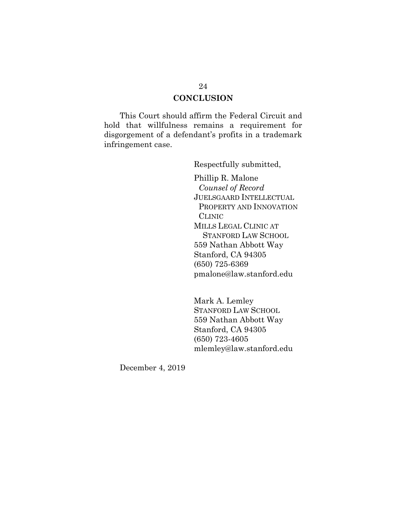#### **CONCLUSION**

This Court should affirm the Federal Circuit and hold that willfulness remains a requirement for disgorgement of a defendant's profits in a trademark infringement case.

Respectfully submitted,

Phillip R. Malone *Counsel of Record* JUELSGAARD INTELLECTUAL PROPERTY AND INNOVATION CLINIC MILLS LEGAL CLINIC AT STANFORD LAW SCHOOL 559 Nathan Abbott Way Stanford, CA 94305 (650) 725-6369 pmalone@law.stanford.edu

Mark A. Lemley STANFORD LAW SCHOOL 559 Nathan Abbott Way Stanford, CA 94305 (650) 723-4605 mlemley@law.stanford.edu

December 4, 2019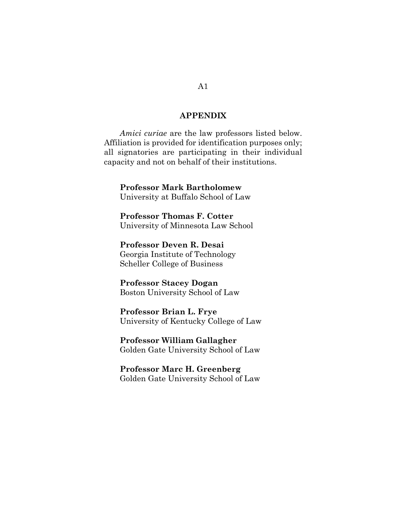#### **APPENDIX**

*Amici curiae* are the law professors listed below. Affiliation is provided for identification purposes only; all signatories are participating in their individual capacity and not on behalf of their institutions.

**Professor Mark Bartholomew** University at Buffalo School of Law

**Professor Thomas F. Cotter** University of Minnesota Law School

**Professor Deven R. Desai** Georgia Institute of Technology Scheller College of Business

**Professor Stacey Dogan** Boston University School of Law

**Professor Brian L. Frye** University of Kentucky College of Law

**Professor William Gallagher** Golden Gate University School of Law

**Professor Marc H. Greenberg** Golden Gate University School of Law